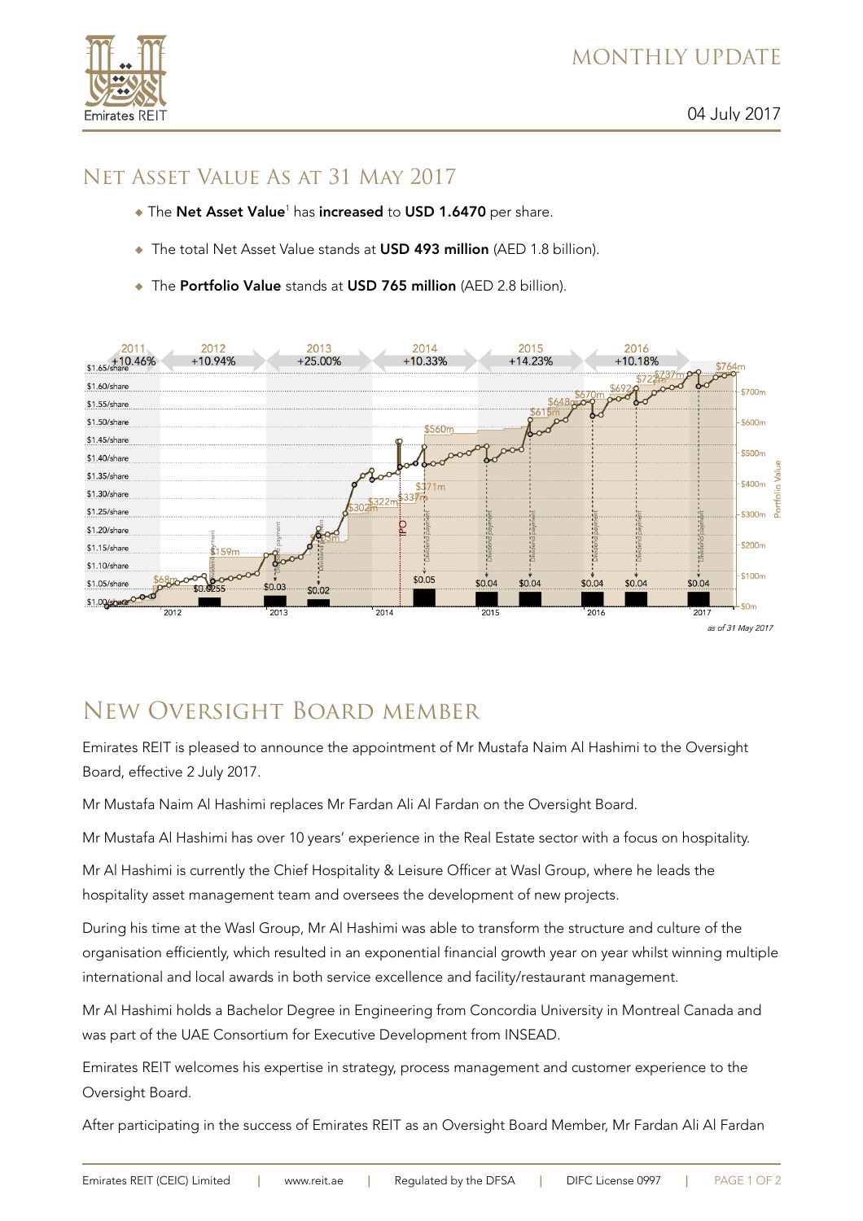

## Net Asset Value As at 31 May 2017

- ◆ The Net Asset Value<sup>1</sup> has increased to USD 1.6470 per share.
- The total Net Asset Value stands at USD 493 million (AED 1.8 billion).
- ◆ The Portfolio Value stands at USD 765 million (AED 2.8 billion).



## New Oversight Board member

Emirates REIT is pleased to announce the appointment of Mr Mustafa Naim Al Hashimi to the Oversight Board, effective 2 July 2017.

Mr Mustafa Naim Al Hashimi replaces Mr Fardan Ali Al Fardan on the Oversight Board.

Mr Mustafa Al Hashimi has over 10 years' experience in the Real Estate sector with a focus on hospitality.

Mr Al Hashimi is currently the Chief Hospitality & Leisure Officer at Wasl Group, where he leads the hospitality asset management team and oversees the development of new projects.

During his time at the Wasl Group, Mr Al Hashimi was able to transform the structure and culture of the organisation efficiently, which resulted in an exponential financial growth year on year whilst winning multiple international and local awards in both service excellence and facility/restaurant management.

Mr Al Hashimi holds a Bachelor Degree in Engineering from Concordia University in Montreal Canada and was part of the UAE Consortium for Executive Development from INSEAD.

Emirates REIT welcomes his expertise in strategy, process management and customer experience to the Oversight Board.

After participating in the success of Emirates REIT as an Oversight Board Member, Mr Fardan Ali Al Fardan